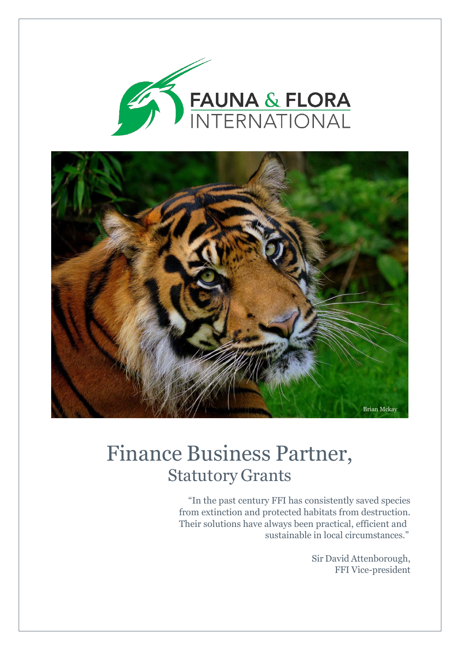



# Finance Business Partner, Statutory Grants

"In the past century FFI has consistently saved species from extinction and protected habitats from destruction. Their solutions have always been practical, efficient and sustainable in local circumstances."

> Sir David Attenborough, FFI Vice-president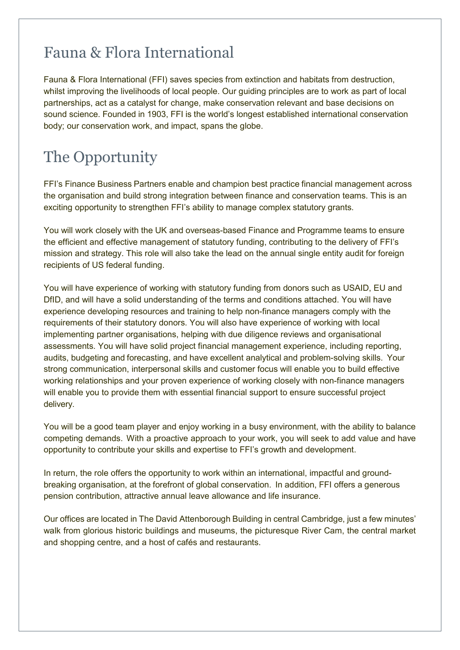### Fauna & Flora International

Fauna & Flora International (FFI) saves species from extinction and habitats from destruction, whilst improving the livelihoods of local people. Our guiding principles are to work as part of local partnerships, act as a catalyst for change, make conservation relevant and base decisions on sound science. Founded in 1903, FFI is the world's longest established international conservation body; our conservation work, and impact, spans the globe.

# The Opportunity

FFI's Finance Business Partners enable and champion best practice financial management across the organisation and build strong integration between finance and conservation teams. This is an exciting opportunity to strengthen FFI's ability to manage complex statutory grants.

You will work closely with the UK and overseas-based Finance and Programme teams to ensure the efficient and effective management of statutory funding, contributing to the delivery of FFI's mission and strategy. This role will also take the lead on the annual single entity audit for foreign recipients of US federal funding.

You will have experience of working with statutory funding from donors such as USAID, EU and DfID, and will have a solid understanding of the terms and conditions attached. You will have experience developing resources and training to help non-finance managers comply with the requirements of their statutory donors. You will also have experience of working with local implementing partner organisations, helping with due diligence reviews and organisational assessments. You will have solid project financial management experience, including reporting, audits, budgeting and forecasting, and have excellent analytical and problem-solving skills. Your strong communication, interpersonal skills and customer focus will enable you to build effective working relationships and your proven experience of working closely with non-finance managers will enable you to provide them with essential financial support to ensure successful project delivery.

You will be a good team player and enjoy working in a busy environment, with the ability to balance competing demands. With a proactive approach to your work, you will seek to add value and have opportunity to contribute your skills and expertise to FFI's growth and development.

In return, the role offers the opportunity to work within an international, impactful and groundbreaking organisation, at the forefront of global conservation. In addition, FFI offers a generous pension contribution, attractive annual leave allowance and life insurance.

Our offices are located in The David Attenborough Building in central Cambridge, just a few minutes' walk from glorious historic buildings and museums, the picturesque River Cam, the central market and shopping centre, and a host of cafés and restaurants.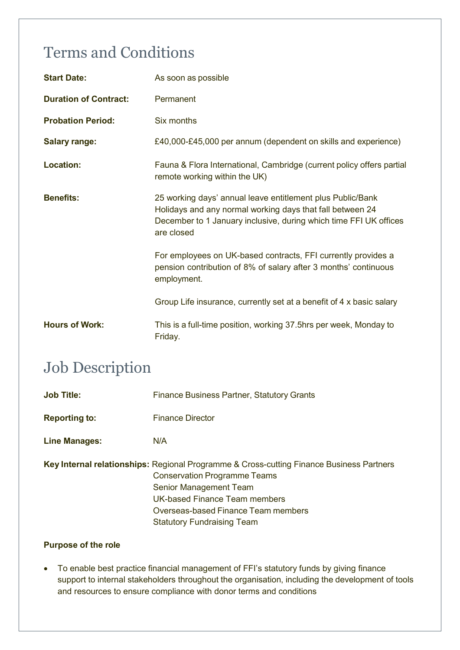# Terms and Conditions

| <b>Start Date:</b>           | As soon as possible                                                                                                                                                                                        |
|------------------------------|------------------------------------------------------------------------------------------------------------------------------------------------------------------------------------------------------------|
| <b>Duration of Contract:</b> | Permanent                                                                                                                                                                                                  |
| <b>Probation Period:</b>     | Six months                                                                                                                                                                                                 |
| <b>Salary range:</b>         | £40,000-£45,000 per annum (dependent on skills and experience)                                                                                                                                             |
| <b>Location:</b>             | Fauna & Flora International, Cambridge (current policy offers partial<br>remote working within the UK)                                                                                                     |
| <b>Benefits:</b>             | 25 working days' annual leave entitlement plus Public/Bank<br>Holidays and any normal working days that fall between 24<br>December to 1 January inclusive, during which time FFI UK offices<br>are closed |
|                              | For employees on UK-based contracts, FFI currently provides a<br>pension contribution of 8% of salary after 3 months' continuous<br>employment.                                                            |
|                              | Group Life insurance, currently set at a benefit of 4 x basic salary                                                                                                                                       |
| <b>Hours of Work:</b>        | This is a full-time position, working 37.5hrs per week, Monday to<br>Friday.                                                                                                                               |

### Job Description

| <b>Job Title:</b>    | <b>Finance Business Partner, Statutory Grants</b>                                                                                                                                                                                                                             |
|----------------------|-------------------------------------------------------------------------------------------------------------------------------------------------------------------------------------------------------------------------------------------------------------------------------|
| <b>Reporting to:</b> | <b>Finance Director</b>                                                                                                                                                                                                                                                       |
| <b>Line Manages:</b> | N/A                                                                                                                                                                                                                                                                           |
|                      | <b>Key Internal relationships:</b> Regional Programme & Cross-cutting Finance Business Partners<br><b>Conservation Programme Teams</b><br>Senior Management Team<br>UK-based Finance Team members<br>Overseas-based Finance Team members<br><b>Statutory Fundraising Team</b> |

#### **Purpose of the role**

• To enable best practice financial management of FFI's statutory funds by giving finance support to internal stakeholders throughout the organisation, including the development of tools and resources to ensure compliance with donor terms and conditions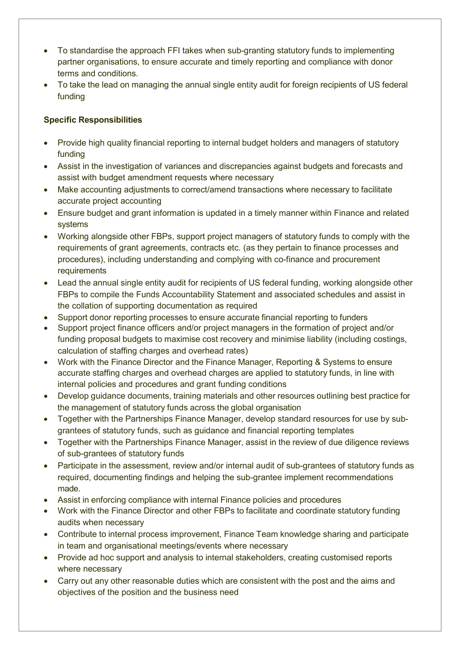- To standardise the approach FFI takes when sub-granting statutory funds to implementing partner organisations, to ensure accurate and timely reporting and compliance with donor terms and conditions.
- To take the lead on managing the annual single entity audit for foreign recipients of US federal funding

#### **Specific Responsibilities**

- Provide high quality financial reporting to internal budget holders and managers of statutory funding
- Assist in the investigation of variances and discrepancies against budgets and forecasts and assist with budget amendment requests where necessary
- Make accounting adjustments to correct/amend transactions where necessary to facilitate accurate project accounting
- Ensure budget and grant information is updated in a timely manner within Finance and related systems
- Working alongside other FBPs, support project managers of statutory funds to comply with the requirements of grant agreements, contracts etc. (as they pertain to finance processes and procedures), including understanding and complying with co-finance and procurement requirements
- Lead the annual single entity audit for recipients of US federal funding, working alongside other FBPs to compile the Funds Accountability Statement and associated schedules and assist in the collation of supporting documentation as required
- Support donor reporting processes to ensure accurate financial reporting to funders
- Support project finance officers and/or project managers in the formation of project and/or funding proposal budgets to maximise cost recovery and minimise liability (including costings, calculation of staffing charges and overhead rates)
- Work with the Finance Director and the Finance Manager, Reporting & Systems to ensure accurate staffing charges and overhead charges are applied to statutory funds, in line with internal policies and procedures and grant funding conditions
- Develop guidance documents, training materials and other resources outlining best practice for the management of statutory funds across the global organisation
- Together with the Partnerships Finance Manager, develop standard resources for use by subgrantees of statutory funds, such as guidance and financial reporting templates
- Together with the Partnerships Finance Manager, assist in the review of due diligence reviews of sub-grantees of statutory funds
- Participate in the assessment, review and/or internal audit of sub-grantees of statutory funds as required, documenting findings and helping the sub-grantee implement recommendations made.
- Assist in enforcing compliance with internal Finance policies and procedures
- Work with the Finance Director and other FBPs to facilitate and coordinate statutory funding audits when necessary
- Contribute to internal process improvement, Finance Team knowledge sharing and participate in team and organisational meetings/events where necessary
- Provide ad hoc support and analysis to internal stakeholders, creating customised reports where necessary
- Carry out any other reasonable duties which are consistent with the post and the aims and objectives of the position and the business need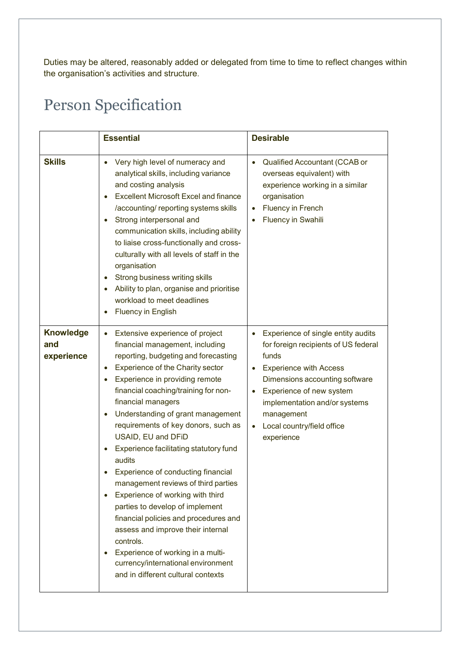Duties may be altered, reasonably added or delegated from time to time to reflect changes within the organisation's activities and structure.

# Person Specification

|                                       | <b>Essential</b>                                                                                                                                                                                                                                                                                                                                                                                                                                                                                                                                                                                                                                                                                                                                                                                                      | <b>Desirable</b>                                                                                                                                                                                                                                                                                                     |
|---------------------------------------|-----------------------------------------------------------------------------------------------------------------------------------------------------------------------------------------------------------------------------------------------------------------------------------------------------------------------------------------------------------------------------------------------------------------------------------------------------------------------------------------------------------------------------------------------------------------------------------------------------------------------------------------------------------------------------------------------------------------------------------------------------------------------------------------------------------------------|----------------------------------------------------------------------------------------------------------------------------------------------------------------------------------------------------------------------------------------------------------------------------------------------------------------------|
| <b>Skills</b>                         | Very high level of numeracy and<br>analytical skills, including variance<br>and costing analysis<br><b>Excellent Microsoft Excel and finance</b><br>٠<br>/accounting/ reporting systems skills<br>Strong interpersonal and<br>$\bullet$<br>communication skills, including ability<br>to liaise cross-functionally and cross-<br>culturally with all levels of staff in the<br>organisation<br>Strong business writing skills<br>$\bullet$<br>Ability to plan, organise and prioritise<br>$\bullet$<br>workload to meet deadlines<br><b>Fluency in English</b>                                                                                                                                                                                                                                                        | Qualified Accountant (CCAB or<br>$\bullet$<br>overseas equivalent) with<br>experience working in a similar<br>organisation<br><b>Fluency in French</b><br><b>Fluency in Swahili</b>                                                                                                                                  |
| <b>Knowledge</b><br>and<br>experience | Extensive experience of project<br>٠<br>financial management, including<br>reporting, budgeting and forecasting<br>Experience of the Charity sector<br>$\bullet$<br>Experience in providing remote<br>٠<br>financial coaching/training for non-<br>financial managers<br>Understanding of grant management<br>$\bullet$<br>requirements of key donors, such as<br>USAID, EU and DFID<br>Experience facilitating statutory fund<br>audits<br>Experience of conducting financial<br>management reviews of third parties<br>Experience of working with third<br>parties to develop of implement<br>financial policies and procedures and<br>assess and improve their internal<br>controls.<br>Experience of working in a multi-<br>$\bullet$<br>currency/international environment<br>and in different cultural contexts | Experience of single entity audits<br>for foreign recipients of US federal<br>funds<br><b>Experience with Access</b><br>$\bullet$<br>Dimensions accounting software<br>Experience of new system<br>$\bullet$<br>implementation and/or systems<br>management<br>Local country/field office<br>$\bullet$<br>experience |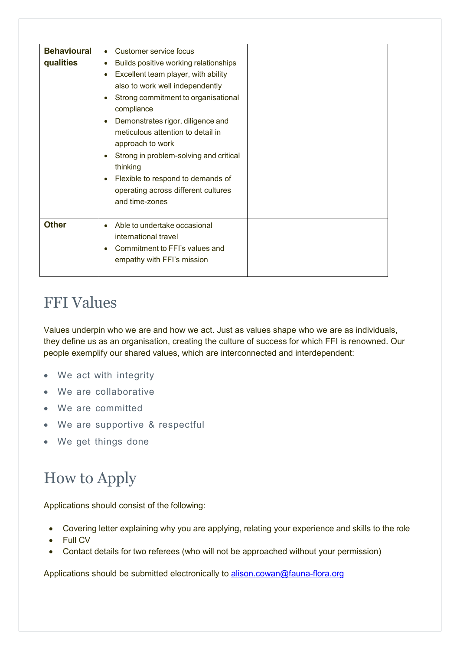| <b>Behavioural</b><br>qualities | Customer service focus<br>$\bullet$<br>Builds positive working relationships<br>$\bullet$<br>Excellent team player, with ability<br>$\bullet$<br>also to work well independently<br>Strong commitment to organisational<br>$\bullet$                                      |  |
|---------------------------------|---------------------------------------------------------------------------------------------------------------------------------------------------------------------------------------------------------------------------------------------------------------------------|--|
|                                 | compliance<br>Demonstrates rigor, diligence and<br>meticulous attention to detail in<br>approach to work<br>Strong in problem-solving and critical<br>thinking<br>Flexible to respond to demands of<br>$\bullet$<br>operating across different cultures<br>and time-zones |  |
| <b>Other</b>                    | Able to undertake occasional<br>international travel<br>Commitment to FFI's values and<br>٠<br>empathy with FFI's mission                                                                                                                                                 |  |

### FFI Values

Values underpin who we are and how we act. Just as values shape who we are as individuals, they define us as an organisation, creating the culture of success for which FFI is renowned. Our people exemplify our shared values, which are interconnected and interdependent:

- We act with integrity
- We are collaborative
- We are committed
- We are supportive & respectful
- We get things done

# How to Apply

Applications should consist of the following:

- Covering letter explaining why you are applying, relating your experience and skills to the role
- **Full CV**
- Contact details for two referees (who will not be approached without your permission)

Applications should be submitted electronically to [alison.cowan@fauna-flora.org](mailto:alison.cowan@fauna-flora.org)